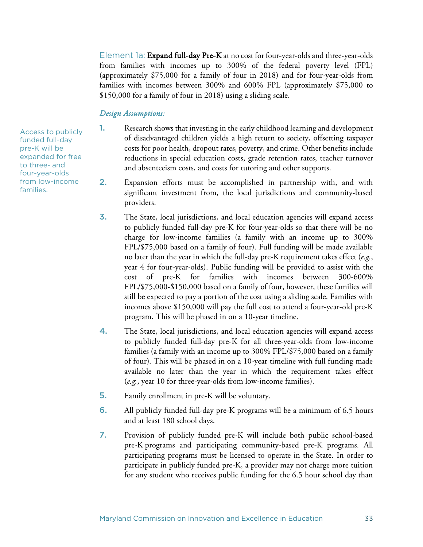Element 1a: Expand full-day Pre-K at no cost for four-year-olds and three-year-olds from families with incomes up to 300% of the federal poverty level (FPL) (approximately \$75,000 for a family of four in 2018) and for four-year-olds from families with incomes between 300% and 600% FPL (approximately \$75,000 to \$150,000 for a family of four in 2018) using a sliding scale.

#### *Design Assumptions:*

1. Research shows that investing in the early childhood learning and development of disadvantaged children yields a high return to society, offsetting taxpayer costs for poor health, dropout rates, poverty, and crime. Other benefits include reductions in special education costs, grade retention rates, teacher turnover and absenteeism costs, and costs for tutoring and other supports.

- 2. Expansion efforts must be accomplished in partnership with, and with significant investment from, the local jurisdictions and community-based providers.
- 3. The State, local jurisdictions, and local education agencies will expand access to publicly funded full-day pre-K for four-year-olds so that there will be no charge for low-income families (a family with an income up to 300% FPL/\$75,000 based on a family of four). Full funding will be made available no later than the year in which the full-day pre-K requirement takes effect (*e.g.*, year 4 for four-year-olds). Public funding will be provided to assist with the cost of pre-K for families with incomes between 300-600% FPL/\$75,000-\$150,000 based on a family of four, however, these families will still be expected to pay a portion of the cost using a sliding scale. Families with incomes above \$150,000 will pay the full cost to attend a four-year-old pre-K program. This will be phased in on a 10-year timeline.
- 4. The State, local jurisdictions, and local education agencies will expand access to publicly funded full-day pre-K for all three-year-olds from low-income families (a family with an income up to 300% FPL/\$75,000 based on a family of four). This will be phased in on a 10-year timeline with full funding made available no later than the year in which the requirement takes effect (*e.g.*, year 10 for three-year-olds from low-income families).
- 5. Family enrollment in pre-K will be voluntary.
- 6. All publicly funded full-day pre-K programs will be a minimum of 6.5 hours and at least 180 school days.
- 7. Provision of publicly funded pre-K will include both public school-based pre-K programs and participating community-based pre-K programs. All participating programs must be licensed to operate in the State. In order to participate in publicly funded pre-K, a provider may not charge more tuition for any student who receives public funding for the 6.5 hour school day than

Access to publicly funded full-day pre-K will be expanded for free to three- and four-year-olds from low-income families.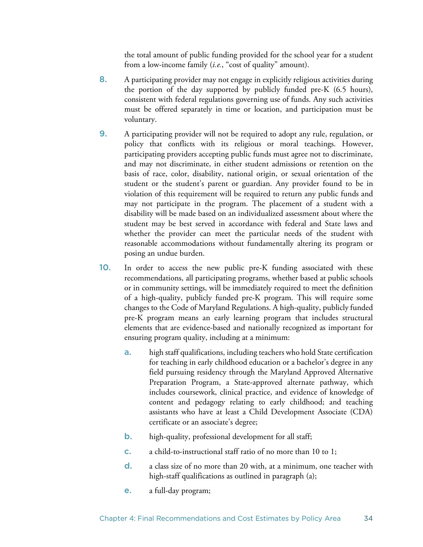the total amount of public funding provided for the school year for a student from a low-income family (*i.e.*, "cost of quality" amount).

- 8. A participating provider may not engage in explicitly religious activities during the portion of the day supported by publicly funded pre-K (6.5 hours), consistent with federal regulations governing use of funds. Any such activities must be offered separately in time or location, and participation must be voluntary.
- 9. A participating provider will not be required to adopt any rule, regulation, or policy that conflicts with its religious or moral teachings. However, participating providers accepting public funds must agree not to discriminate, and may not discriminate, in either student admissions or retention on the basis of race, color, disability, national origin, or sexual orientation of the student or the student's parent or guardian. Any provider found to be in violation of this requirement will be required to return any public funds and may not participate in the program. The placement of a student with a disability will be made based on an individualized assessment about where the student may be best served in accordance with federal and State laws and whether the provider can meet the particular needs of the student with reasonable accommodations without fundamentally altering its program or posing an undue burden.
- 10. In order to access the new public pre-K funding associated with these recommendations, all participating programs, whether based at public schools or in community settings, will be immediately required to meet the definition of a high-quality, publicly funded pre-K program. This will require some changes to the Code of Maryland Regulations. A high-quality, publicly funded pre-K program means an early learning program that includes structural elements that are evidence-based and nationally recognized as important for ensuring program quality, including at a minimum:
	- **a.** high staff qualifications, including teachers who hold State certification for teaching in early childhood education or a bachelor's degree in any field pursuing residency through the Maryland Approved Alternative Preparation Program, a State-approved alternate pathway, which includes coursework, clinical practice, and evidence of knowledge of content and pedagogy relating to early childhood; and teaching assistants who have at least a Child Development Associate (CDA) certificate or an associate's degree;
	- **b.** high-quality, professional development for all staff;
	- c. a child-to-instructional staff ratio of no more than 10 to 1;
	- d. a class size of no more than 20 with, at a minimum, one teacher with high-staff qualifications as outlined in paragraph (a);
	- e. a full-day program;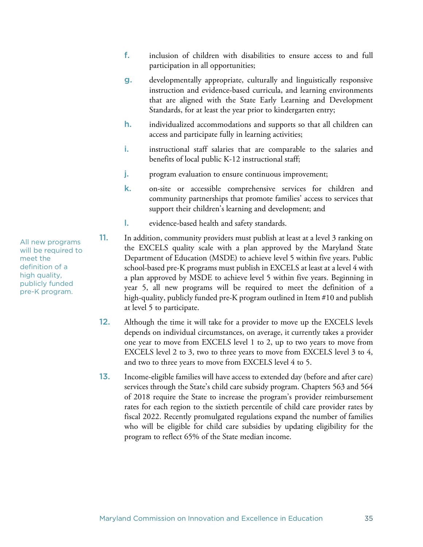- f. inclusion of children with disabilities to ensure access to and full participation in all opportunities;
- g. developmentally appropriate, culturally and linguistically responsive instruction and evidence-based curricula, and learning environments that are aligned with the State Early Learning and Development Standards, for at least the year prior to kindergarten entry;
- h. individualized accommodations and supports so that all children can access and participate fully in learning activities;
- i. instructional staff salaries that are comparable to the salaries and benefits of local public K-12 instructional staff;
- j. program evaluation to ensure continuous improvement;
- k. on-site or accessible comprehensive services for children and community partnerships that promote families' access to services that support their children's learning and development; and
- l. evidence-based health and safety standards.
- 11. In addition, community providers must publish at least at a level 3 ranking on the EXCELS quality scale with a plan approved by the Maryland State Department of Education (MSDE) to achieve level 5 within five years. Public school-based pre-K programs must publish in EXCELS at least at a level 4 with a plan approved by MSDE to achieve level 5 within five years. Beginning in year 5, all new programs will be required to meet the definition of a high-quality, publicly funded pre-K program outlined in Item #10 and publish at level 5 to participate.
- 12. Although the time it will take for a provider to move up the EXCELS levels depends on individual circumstances, on average, it currently takes a provider one year to move from EXCELS level 1 to 2, up to two years to move from EXCELS level 2 to 3, two to three years to move from EXCELS level 3 to 4, and two to three years to move from EXCELS level 4 to 5.
- 13. Income-eligible families will have access to extended day (before and after care) services through the State's child care subsidy program. Chapters 563 and 564 of 2018 require the State to increase the program's provider reimbursement rates for each region to the sixtieth percentile of child care provider rates by fiscal 2022. Recently promulgated regulations expand the number of families who will be eligible for child care subsidies by updating eligibility for the program to reflect 65% of the State median income.

All new programs will be required to meet the definition of a high quality, publicly funded pre-K program.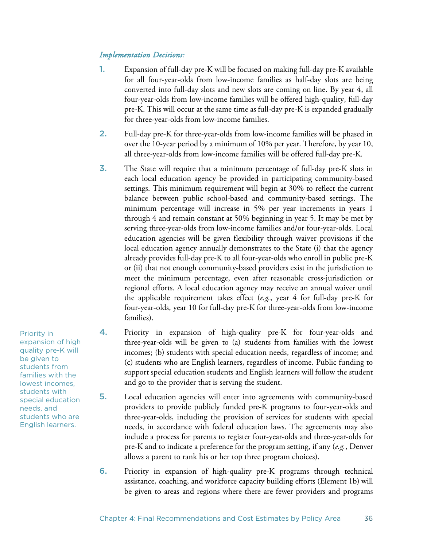#### *Implementation Decisions:*

- 1. Expansion of full-day pre-K will be focused on making full-day pre-K available for all four-year-olds from low-income families as half-day slots are being converted into full-day slots and new slots are coming on line. By year 4, all four-year-olds from low-income families will be offered high-quality, full-day pre-K. This will occur at the same time as full-day pre-K is expanded gradually for three-year-olds from low-income families.
- 2. Full-day pre-K for three-year-olds from low-income families will be phased in over the 10-year period by a minimum of 10% per year. Therefore, by year 10, all three-year-olds from low-income families will be offered full-day pre-K.
- 3. The State will require that a minimum percentage of full-day pre-K slots in each local education agency be provided in participating community-based settings. This minimum requirement will begin at 30% to reflect the current balance between public school-based and community-based settings. The minimum percentage will increase in 5% per year increments in years 1 through 4 and remain constant at 50% beginning in year 5. It may be met by serving three-year-olds from low-income families and/or four-year-olds. Local education agencies will be given flexibility through waiver provisions if the local education agency annually demonstrates to the State (i) that the agency already provides full-day pre-K to all four-year-olds who enroll in public pre-K or (ii) that not enough community-based providers exist in the jurisdiction to meet the minimum percentage, even after reasonable cross-jurisdiction or regional efforts. A local education agency may receive an annual waiver until the applicable requirement takes effect (*e.g.*, year 4 for full-day pre-K for four-year-olds, year 10 for full-day pre-K for three-year-olds from low-income families).
- 4. Priority in expansion of high-quality pre-K for four-year-olds and three-year-olds will be given to (a) students from families with the lowest incomes; (b) students with special education needs, regardless of income; and (c) students who are English learners, regardless of income. Public funding to support special education students and English learners will follow the student and go to the provider that is serving the student.
- 5. Local education agencies will enter into agreements with community-based providers to provide publicly funded pre-K programs to four-year-olds and three-year-olds, including the provision of services for students with special needs, in accordance with federal education laws. The agreements may also include a process for parents to register four-year-olds and three-year-olds for pre-K and to indicate a preference for the program setting, if any (*e.g.*, Denver allows a parent to rank his or her top three program choices).
- 6. Priority in expansion of high-quality pre-K programs through technical assistance, coaching, and workforce capacity building efforts (Element 1b) will be given to areas and regions where there are fewer providers and programs

Priority in expansion of high quality pre-K will be given to students from families with the lowest incomes, students with special education needs, and students who are English learners.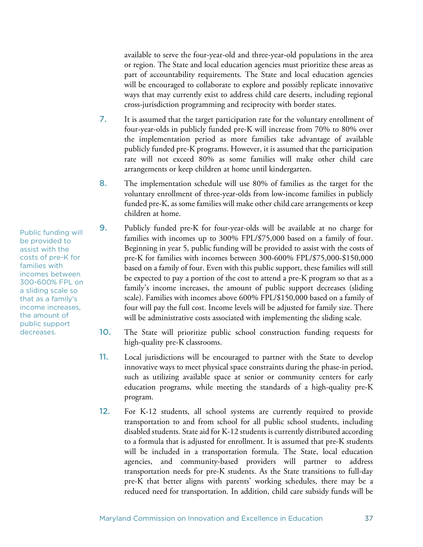available to serve the four-year-old and three-year-old populations in the area or region. The State and local education agencies must prioritize these areas as part of accountability requirements. The State and local education agencies will be encouraged to collaborate to explore and possibly replicate innovative ways that may currently exist to address child care deserts, including regional cross-jurisdiction programming and reciprocity with border states.

- 7. It is assumed that the target participation rate for the voluntary enrollment of four-year-olds in publicly funded pre-K will increase from 70% to 80% over the implementation period as more families take advantage of available publicly funded pre-K programs. However, it is assumed that the participation rate will not exceed 80% as some families will make other child care arrangements or keep children at home until kindergarten.
- 8. The implementation schedule will use 80% of families as the target for the voluntary enrollment of three-year-olds from low-income families in publicly funded pre-K, as some families will make other child care arrangements or keep children at home.
- 9. Publicly funded pre-K for four-year-olds will be available at no charge for families with incomes up to 300% FPL/\$75,000 based on a family of four. Beginning in year 5, public funding will be provided to assist with the costs of pre-K for families with incomes between 300-600% FPL/\$75,000-\$150,000 based on a family of four. Even with this public support, these families will still be expected to pay a portion of the cost to attend a pre-K program so that as a family's income increases, the amount of public support decreases (sliding scale). Families with incomes above 600% FPL/\$150,000 based on a family of four will pay the full cost. Income levels will be adjusted for family size. There will be administrative costs associated with implementing the sliding scale.
- 10. The State will prioritize public school construction funding requests for high-quality pre-K classrooms.
- 11. Local jurisdictions will be encouraged to partner with the State to develop innovative ways to meet physical space constraints during the phase-in period, such as utilizing available space at senior or community centers for early education programs, while meeting the standards of a high-quality pre-K program.
- 12. For K-12 students, all school systems are currently required to provide transportation to and from school for all public school students, including disabled students. State aid for K-12 students is currently distributed according to a formula that is adjusted for enrollment. It is assumed that pre-K students will be included in a transportation formula. The State, local education agencies, and community-based providers will partner to address transportation needs for pre-K students. As the State transitions to full-day pre-K that better aligns with parents' working schedules, there may be a reduced need for transportation. In addition, child care subsidy funds will be

Public funding will be provided to assist with the costs of pre-K for families with incomes between 300-600% FPL on a sliding scale so that as a family's income increases, the amount of public support decreases.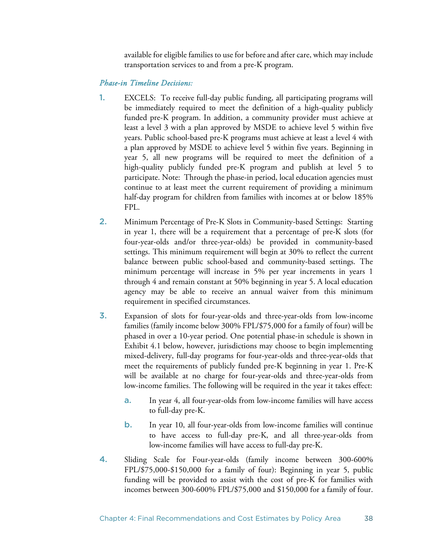available for eligible families to use for before and after care, which may include transportation services to and from a pre-K program.

## *Phase-in Timeline Decisions:*

- 1. EXCELS: To receive full-day public funding, all participating programs will be immediately required to meet the definition of a high-quality publicly funded pre-K program. In addition, a community provider must achieve at least a level 3 with a plan approved by MSDE to achieve level 5 within five years. Public school-based pre-K programs must achieve at least a level 4 with a plan approved by MSDE to achieve level 5 within five years. Beginning in year 5, all new programs will be required to meet the definition of a high-quality publicly funded pre-K program and publish at level 5 to participate. Note: Through the phase-in period, local education agencies must continue to at least meet the current requirement of providing a minimum half-day program for children from families with incomes at or below 185% FPL.
- 2. Minimum Percentage of Pre-K Slots in Community-based Settings: Starting in year 1, there will be a requirement that a percentage of pre-K slots (for four-year-olds and/or three-year-olds) be provided in community-based settings. This minimum requirement will begin at 30% to reflect the current balance between public school-based and community-based settings. The minimum percentage will increase in 5% per year increments in years 1 through 4 and remain constant at 50% beginning in year 5. A local education agency may be able to receive an annual waiver from this minimum requirement in specified circumstances.
- 3. Expansion of slots for four-year-olds and three-year-olds from low-income families (family income below 300% FPL/\$75,000 for a family of four) will be phased in over a 10-year period. One potential phase-in schedule is shown in Exhibit 4.1 below, however, jurisdictions may choose to begin implementing mixed-delivery, full-day programs for four-year-olds and three-year-olds that meet the requirements of publicly funded pre-K beginning in year 1. Pre-K will be available at no charge for four-year-olds and three-year-olds from low-income families. The following will be required in the year it takes effect:
	- a. In year 4, all four-year-olds from low-income families will have access to full-day pre-K.
	- b. In year 10, all four-year-olds from low-income families will continue to have access to full-day pre-K, and all three-year-olds from low-income families will have access to full-day pre-K.
- 4. Sliding Scale for Four-year-olds (family income between 300-600% FPL/\$75,000-\$150,000 for a family of four): Beginning in year 5, public funding will be provided to assist with the cost of pre-K for families with incomes between 300-600% FPL/\$75,000 and \$150,000 for a family of four.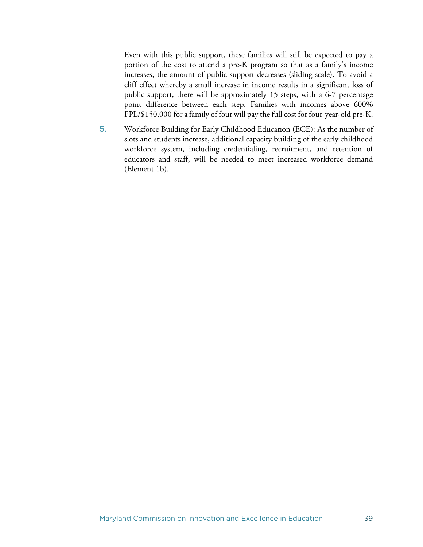Even with this public support, these families will still be expected to pay a portion of the cost to attend a pre-K program so that as a family's income increases, the amount of public support decreases (sliding scale). To avoid a cliff effect whereby a small increase in income results in a significant loss of public support, there will be approximately 15 steps, with a 6-7 percentage point difference between each step. Families with incomes above 600% FPL/\$150,000 for a family of four will pay the full cost for four-year-old pre-K.

5. Workforce Building for Early Childhood Education (ECE): As the number of slots and students increase, additional capacity building of the early childhood workforce system, including credentialing, recruitment, and retention of educators and staff, will be needed to meet increased workforce demand (Element 1b).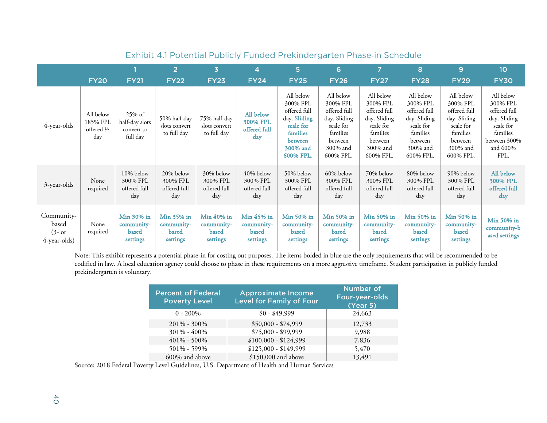|                                                 | <b>FY20</b>                                           | <b>FY21</b>                                           | 2 <br><b>FY22</b>                             | $\overline{\mathbf{3}}$<br><b>FY23</b>           | 4<br><b>FY24</b>                                     | 5<br><b>FY25</b>                                                                                                   | 6<br><b>FY26</b>                                                                                                   | 7<br><b>FY27</b>                                                                                                   | 8<br><b>FY28</b>                                                                                                   | 9<br><b>FY29</b>                                                                                                   | 10<br><b>FY30</b>                                                                                                     |
|-------------------------------------------------|-------------------------------------------------------|-------------------------------------------------------|-----------------------------------------------|--------------------------------------------------|------------------------------------------------------|--------------------------------------------------------------------------------------------------------------------|--------------------------------------------------------------------------------------------------------------------|--------------------------------------------------------------------------------------------------------------------|--------------------------------------------------------------------------------------------------------------------|--------------------------------------------------------------------------------------------------------------------|-----------------------------------------------------------------------------------------------------------------------|
| 4-year-olds                                     | All below<br>185% FPL<br>offered $\frac{1}{2}$<br>day | $25\%$ of<br>half-day slots<br>convert to<br>full day | 50% half-day<br>slots convert<br>to full day  | 75% half-day<br>slots convert<br>to full day     | All below<br>300% FPL<br>offered full<br>day         | All below<br>300% FPL<br>offered full<br>day. Sliding<br>scale for<br>families<br>between<br>300% and<br>600% FPL. | All below<br>300% FPL<br>offered full<br>day. Sliding<br>scale for<br>families<br>between<br>300% and<br>600% FPL. | All below<br>300% FPL<br>offered full<br>day. Sliding<br>scale for<br>families<br>between<br>300% and<br>600% FPL. | All below<br>300% FPL<br>offered full<br>day. Sliding<br>scale for<br>families<br>between<br>300% and<br>600% FPL. | All below<br>300% FPL<br>offered full<br>day. Sliding<br>scale for<br>families<br>between<br>300% and<br>600% FPL. | All below<br>300% FPL<br>offered full<br>day. Sliding<br>scale for<br>families<br>between 300%<br>and $600\%$<br>FPL. |
| 3-year-olds                                     | None<br>required                                      | 10% below<br>300% FPL<br>offered full<br>day          | 20% below<br>300% FPL<br>offered full<br>day  | 30% below<br>300% FPL<br>offered full<br>day     | $40\%$ below<br>300% FPL<br>offered full<br>day      | 50% below<br>300% FPL<br>offered full<br>day                                                                       | 60% below<br>300% FPL<br>offered full<br>day                                                                       | 70% below<br>300% FPL<br>offered full<br>day                                                                       | 80% below<br>300% FPL<br>offered full<br>day                                                                       | 90% below<br>300% FPL<br>offered full<br>day                                                                       | All below<br>300% FPL<br>offered full<br>day                                                                          |
| Community-<br>based<br>$(3-$ or<br>4-year-olds) | None<br>required                                      | Min 30% in<br>community-<br>based<br>settings         | Min 35% in<br>community-<br>based<br>settings | Min $40\%$ in<br>community-<br>based<br>settings | Min 45% in<br>community-<br><b>based</b><br>settings | Min 50% in<br>community-<br>based<br>settings                                                                      | Min 50% in<br>community-<br>based<br>settings                                                                      | Min 50% in<br>community-<br>based<br>settings                                                                      | Min 50% in<br>community-<br>based<br>settings                                                                      | Min 50% in<br>community-<br>based<br>settings                                                                      | Min 50% in<br>community-b<br>ased settings                                                                            |

# Exhibit 4.1 Potential Publicly Funded Prekindergarten Phase-in Schedule

Note: This exhibit represents a potential phase-in for costing out purposes. The items bolded in blue are the only requirements that will be recommended to be codified in law. A local education agency could choose to phase in these requirements on a more aggressive timeframe. Student participation in publicly funded prekindergarten is voluntary.

| <b>Percent of Federal</b><br><b>Poverty Level</b> | <b>Approximate Income</b><br><b>Level for Family of Four</b> | <b>Number of</b><br>Four-year-olds<br>(Year 5) |
|---------------------------------------------------|--------------------------------------------------------------|------------------------------------------------|
| $0 - 200\%$                                       | $$0 - $49,999$                                               | 24,663                                         |
| $201\% - 300\%$                                   | $$50,000 - $74,999$                                          | 12,733                                         |
| 301% - 400%                                       | $$75,000 - $99,999$                                          | 9,988                                          |
| 401% - 500%                                       | $$100,000 - $124,999$                                        | 7,836                                          |
| 501% - 599%                                       | $$125,000 - $149,999$                                        | 5,470                                          |
| 600% and above                                    | \$150,000 and above                                          | 13,491                                         |

Source: 2018 Federal Poverty Level Guidelines, U.S. Department of Health and Human Services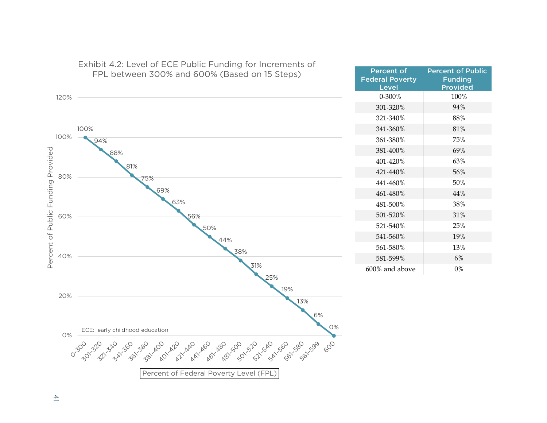

# Exhibit 4.2: Level of ECE Public Funding for Increments of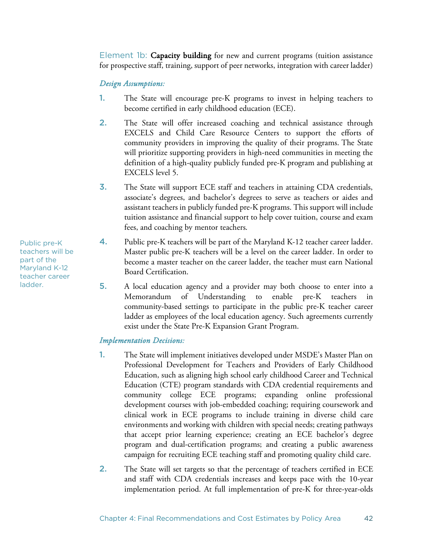Element 1b: Capacity building for new and current programs (tuition assistance for prospective staff, training, support of peer networks, integration with career ladder)

#### *Design Assumptions:*

- 1. The State will encourage pre-K programs to invest in helping teachers to become certified in early childhood education (ECE).
- 2. The State will offer increased coaching and technical assistance through EXCELS and Child Care Resource Centers to support the efforts of community providers in improving the quality of their programs. The State will prioritize supporting providers in high-need communities in meeting the definition of a high-quality publicly funded pre-K program and publishing at EXCELS level 5.
- 3. The State will support ECE staff and teachers in attaining CDA credentials, associate's degrees, and bachelor's degrees to serve as teachers or aides and assistant teachers in publicly funded pre-K programs. This support will include tuition assistance and financial support to help cover tuition, course and exam fees, and coaching by mentor teachers.
- 4. Public pre-K teachers will be part of the Maryland K-12 teacher career ladder. Master public pre-K teachers will be a level on the career ladder. In order to become a master teacher on the career ladder, the teacher must earn National Board Certification.
- 5. A local education agency and a provider may both choose to enter into a Memorandum of Understanding to enable pre-K teachers in community-based settings to participate in the public pre-K teacher career ladder as employees of the local education agency. Such agreements currently exist under the State Pre-K Expansion Grant Program.

#### *Implementation Decisions:*

- 1. The State will implement initiatives developed under MSDE's Master Plan on Professional Development for Teachers and Providers of Early Childhood Education, such as aligning high school early childhood Career and Technical Education (CTE) program standards with CDA credential requirements and community college ECE programs; expanding online professional development courses with job-embedded coaching; requiring coursework and clinical work in ECE programs to include training in diverse child care environments and working with children with special needs; creating pathways that accept prior learning experience; creating an ECE bachelor's degree program and dual-certification programs; and creating a public awareness campaign for recruiting ECE teaching staff and promoting quality child care.
- 2. The State will set targets so that the percentage of teachers certified in ECE and staff with CDA credentials increases and keeps pace with the 10-year implementation period. At full implementation of pre-K for three-year-olds

Public pre-K teachers will be part of the Maryland K-12 teacher career ladder.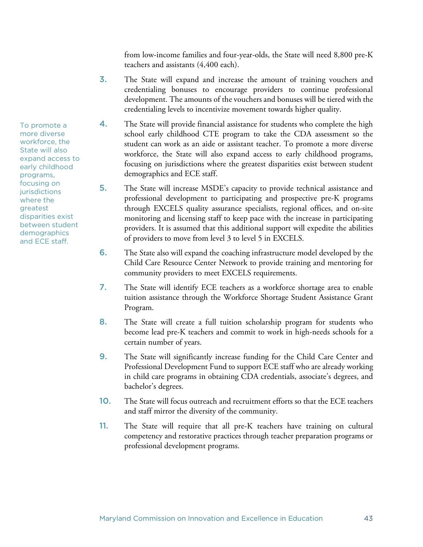from low-income families and four-year-olds, the State will need 8,800 pre-K teachers and assistants (4,400 each).

- 3. The State will expand and increase the amount of training vouchers and credentialing bonuses to encourage providers to continue professional development. The amounts of the vouchers and bonuses will be tiered with the credentialing levels to incentivize movement towards higher quality.
- 4. The State will provide financial assistance for students who complete the high school early childhood CTE program to take the CDA assessment so the student can work as an aide or assistant teacher. To promote a more diverse workforce, the State will also expand access to early childhood programs, focusing on jurisdictions where the greatest disparities exist between student demographics and ECE staff.
- 5. The State will increase MSDE's capacity to provide technical assistance and professional development to participating and prospective pre-K programs through EXCELS quality assurance specialists, regional offices, and on-site monitoring and licensing staff to keep pace with the increase in participating providers. It is assumed that this additional support will expedite the abilities of providers to move from level 3 to level 5 in EXCELS.
- 6. The State also will expand the coaching infrastructure model developed by the Child Care Resource Center Network to provide training and mentoring for community providers to meet EXCELS requirements.
- 7. The State will identify ECE teachers as a workforce shortage area to enable tuition assistance through the Workforce Shortage Student Assistance Grant Program.
- 8. The State will create a full tuition scholarship program for students who become lead pre-K teachers and commit to work in high-needs schools for a certain number of years.
- 9. The State will significantly increase funding for the Child Care Center and Professional Development Fund to support ECE staff who are already working in child care programs in obtaining CDA credentials, associate's degrees, and bachelor's degrees.
- 10. The State will focus outreach and recruitment efforts so that the ECE teachers and staff mirror the diversity of the community.
- 11. The State will require that all pre-K teachers have training on cultural competency and restorative practices through teacher preparation programs or professional development programs.

To promote a more diverse workforce, the State will also expand access to early childhood programs, focusing on **jurisdictions** where the greatest disparities exist between student demographics and ECE staff.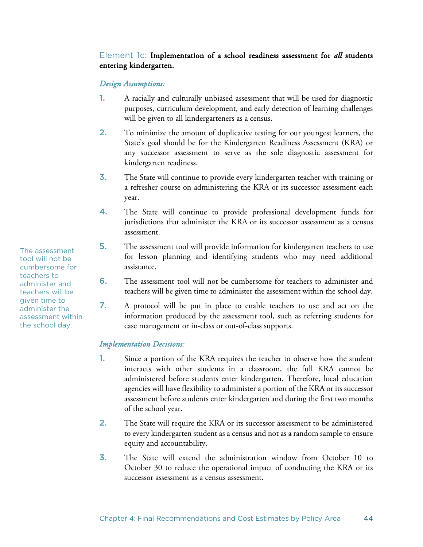# Element 1c: Implementation of a school readiness assessment for *all* students entering kindergarten.

## *Design Assumptions:*

- 1. A racially and culturally unbiased assessment that will be used for diagnostic purposes, curriculum development, and early detection of learning challenges will be given to all kindergarteners as a census.
- 2. To minimize the amount of duplicative testing for our youngest learners, the State's goal should be for the Kindergarten Readiness Assessment (KRA) or any successor assessment to serve as the sole diagnostic assessment for kindergarten readiness.
- 3. The State will continue to provide every kindergarten teacher with training or a refresher course on administering the KRA or its successor assessment each year.
- 4. The State will continue to provide professional development funds for jurisdictions that administer the KRA or its successor assessment as a census assessment.
- 5. The assessment tool will provide information for kindergarten teachers to use for lesson planning and identifying students who may need additional assistance.
- 6. The assessment tool will not be cumbersome for teachers to administer and teachers will be given time to administer the assessment within the school day.
- 7. A protocol will be put in place to enable teachers to use and act on the information produced by the assessment tool, such as referring students for case management or in-class or out-of-class supports.

#### *Implementation Decisions:*

- 1. Since a portion of the KRA requires the teacher to observe how the student interacts with other students in a classroom, the full KRA cannot be administered before students enter kindergarten. Therefore, local education agencies will have flexibility to administer a portion of the KRA or its successor assessment before students enter kindergarten and during the first two months of the school year.
- 2. The State will require the KRA or its successor assessment to be administered to every kindergarten student as a census and not as a random sample to ensure equity and accountability.
- 3. The State will extend the administration window from October 10 to October 30 to reduce the operational impact of conducting the KRA or its successor assessment as a census assessment.

The assessment tool will not be cumbersome for teachers to administer and teachers will be given time to administer the assessment within the school day.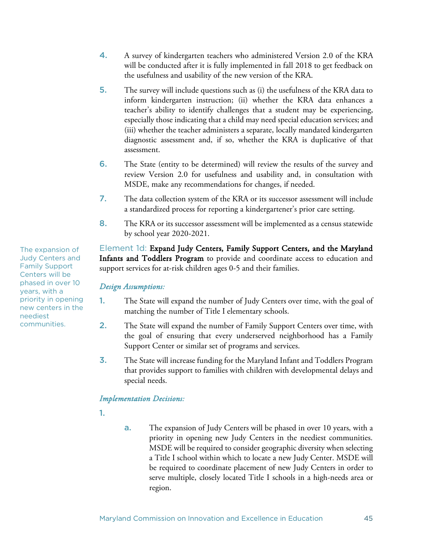- 4. A survey of kindergarten teachers who administered Version 2.0 of the KRA will be conducted after it is fully implemented in fall 2018 to get feedback on the usefulness and usability of the new version of the KRA.
- 5. The survey will include questions such as (i) the usefulness of the KRA data to inform kindergarten instruction; (ii) whether the KRA data enhances a teacher's ability to identify challenges that a student may be experiencing, especially those indicating that a child may need special education services; and (iii) whether the teacher administers a separate, locally mandated kindergarten diagnostic assessment and, if so, whether the KRA is duplicative of that assessment.
- 6. The State (entity to be determined) will review the results of the survey and review Version 2.0 for usefulness and usability and, in consultation with MSDE, make any recommendations for changes, if needed.
- 7. The data collection system of the KRA or its successor assessment will include a standardized process for reporting a kindergartener's prior care setting.
- 8. The KRA or its successor assessment will be implemented as a census statewide by school year 2020-2021.

Element 1d: Expand Judy Centers, Family Support Centers, and the Maryland Infants and Toddlers Program to provide and coordinate access to education and support services for at-risk children ages 0-5 and their families.

#### *Design Assumptions:*

- 1. The State will expand the number of Judy Centers over time, with the goal of matching the number of Title I elementary schools.
- 2. The State will expand the number of Family Support Centers over time, with the goal of ensuring that every underserved neighborhood has a Family Support Center or similar set of programs and services.
- 3. The State will increase funding for the Maryland Infant and Toddlers Program that provides support to families with children with developmental delays and special needs.

## *Implementation Decisions:*

- 1.
- a. The expansion of Judy Centers will be phased in over 10 years, with a priority in opening new Judy Centers in the neediest communities. MSDE will be required to consider geographic diversity when selecting a Title I school within which to locate a new Judy Center. MSDE will be required to coordinate placement of new Judy Centers in order to serve multiple, closely located Title I schools in a high-needs area or region.

The expansion of Judy Centers and Family Support Centers will be phased in over 10 years, with a priority in opening new centers in the neediest communities.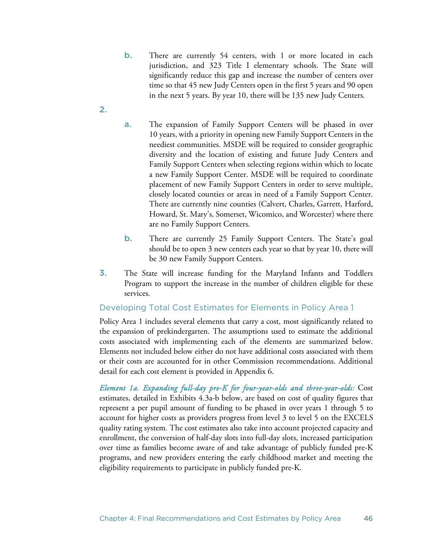- b. There are currently 54 centers, with 1 or more located in each jurisdiction, and 323 Title I elementary schools. The State will significantly reduce this gap and increase the number of centers over time so that 45 new Judy Centers open in the first 5 years and 90 open in the next 5 years. By year 10, there will be 135 new Judy Centers.
- 2.
- a. The expansion of Family Support Centers will be phased in over 10 years, with a priority in opening new Family Support Centers in the neediest communities. MSDE will be required to consider geographic diversity and the location of existing and future Judy Centers and Family Support Centers when selecting regions within which to locate a new Family Support Center. MSDE will be required to coordinate placement of new Family Support Centers in order to serve multiple, closely located counties or areas in need of a Family Support Center. There are currently nine counties (Calvert, Charles, Garrett, Harford, Howard, St. Mary's, Somerset, Wicomico, and Worcester) where there are no Family Support Centers.
- **b.** There are currently 25 Family Support Centers. The State's goal should be to open 3 new centers each year so that by year 10, there will be 30 new Family Support Centers.
- 3. The State will increase funding for the Maryland Infants and Toddlers Program to support the increase in the number of children eligible for these services.

## Developing Total Cost Estimates for Elements in Policy Area 1

Policy Area 1 includes several elements that carry a cost, most significantly related to the expansion of prekindergarten. The assumptions used to estimate the additional costs associated with implementing each of the elements are summarized below. Elements not included below either do not have additional costs associated with them or their costs are accounted for in other Commission recommendations. Additional detail for each cost element is provided in Appendix 6.

*Element 1a. Expanding full-day pre-K for four-year-olds and three-year-olds:* Cost estimates, detailed in Exhibits 4.3a-b below, are based on cost of quality figures that represent a per pupil amount of funding to be phased in over years 1 through 5 to account for higher costs as providers progress from level 3 to level 5 on the EXCELS quality rating system. The cost estimates also take into account projected capacity and enrollment, the conversion of half-day slots into full-day slots, increased participation over time as families become aware of and take advantage of publicly funded pre-K programs, and new providers entering the early childhood market and meeting the eligibility requirements to participate in publicly funded pre-K.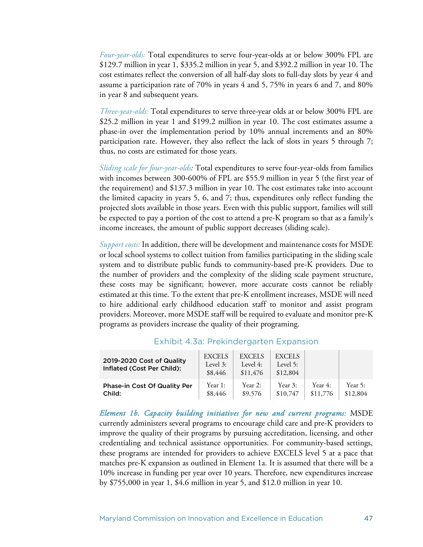*Four-year-olds:* Total expenditures to serve four-year-olds at or below 300% FPL are \$129.7 million in year 1, \$335.2 million in year 5, and \$392.2 million in year 10. The cost estimates reflect the conversion of all half-day slots to full-day slots by year 4 and assume a participation rate of 70% in years 4 and 5, 75% in years 6 and 7, and 80% in year 8 and subsequent years.

*Three-year-olds:* Total expenditures to serve three-year olds at or below 300% FPL are \$25.2 million in year 1 and \$199.2 million in year 10. The cost estimates assume a phase-in over the implementation period by 10% annual increments and an 80% participation rate. However, they also reflect the lack of slots in years 5 through 7; thus, no costs are estimated for those years.

*Sliding scale for four-year-olds:* Total expenditures to serve four-year-olds from families with incomes between 300-600% of FPL are \$55.9 million in year 5 (the first year of the requirement) and \$137.3 million in year 10. The cost estimates take into account the limited capacity in years 5, 6, and 7; thus, expenditures only reflect funding the projected slots available in those years. Even with this public support, families will still be expected to pay a portion of the cost to attend a pre-K program so that as a family's income increases, the amount of public support decreases (sliding scale).

*Support costs:* In addition, there will be development and maintenance costs for MSDE or local school systems to collect tuition from families participating in the sliding scale system and to distribute public funds to community-based pre-K providers. Due to the number of providers and the complexity of the sliding scale payment structure, these costs may be significant; however, more accurate costs cannot be reliably estimated at this time. To the extent that pre-K enrollment increases, MSDE will need to hire additional early childhood education staff to monitor and assist program providers. Moreover, more MSDE staff will be required to evaluate and monitor pre-K programs as providers increase the quality of their programing.

| 2019-2020 Cost of Quality<br>Inflated (Cost Per Child): | <b>EXCELS</b><br>Level 3:<br>\$8,446 | <b>EXCELS</b><br>Level $4:$<br>\$11,476 | <b>EXCELS</b><br>Level 5:<br>\$12,804 |          |          |
|---------------------------------------------------------|--------------------------------------|-----------------------------------------|---------------------------------------|----------|----------|
| Phase-in Cost Of Quality Per                            | Year 1:                              | Year 2:                                 | Year 3:                               | Year 4:  | Year 5:  |
| Child:                                                  | \$8,446                              | \$9,576                                 | \$10,747                              | \$11,776 | \$12,804 |

#### Exhibit 4.3a: Prekindergarten Expansion

 $\mathbf{1}$  and  $\mathbf{1}$  and  $\mathbf{1}$  and  $\mathbf{1}$  and  $\mathbf{1}$  and  $\mathbf{1}$  and  $\mathbf{1}$ 

*Element 1b. Capacity building initiatives for new and current programs:* MSDE currently administers several programs to encourage child care and pre-K providers to improve the quality of their programs by pursuing accreditation, licensing, and other credentialing and technical assistance opportunities. For community-based settings, these programs are intended for providers to achieve EXCELS level 5 at a pace that matches pre-K expansion as outlined in Element 1a. It is assumed that there will be a 10% increase in funding per year over 10 years. Therefore, new expenditures increase by \$755,000 in year 1, \$4.6 million in year 5, and \$12.0 million in year 10.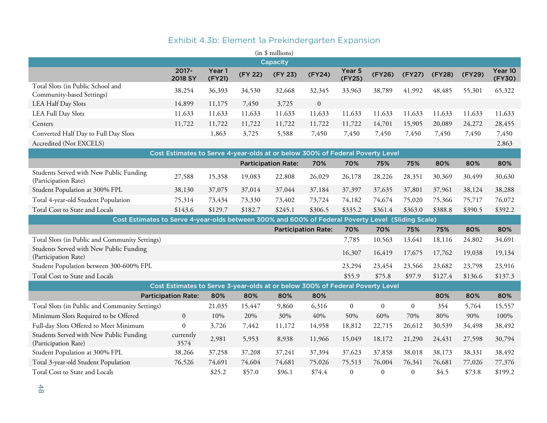| Exhibit 4.3b: Element la Prekindergarten Expansion                                                 |                                                                               |                  |         |                            |                            |                  |                  |                  |         |         |                   |
|----------------------------------------------------------------------------------------------------|-------------------------------------------------------------------------------|------------------|---------|----------------------------|----------------------------|------------------|------------------|------------------|---------|---------|-------------------|
| (in \$ millions)                                                                                   |                                                                               |                  |         |                            |                            |                  |                  |                  |         |         |                   |
|                                                                                                    |                                                                               |                  |         | Capacity                   |                            |                  |                  |                  |         |         |                   |
|                                                                                                    | 2017-<br>2018 SY                                                              | Year 1<br>(FY21) | (FY 22) | (FY 23)                    | (FY24)                     | Year 5<br>(FY25) | (FY26)           | (FY27)           | (FY28)  | (FY29)  | Year 10<br>(FY30) |
| Total Slots (in Public School and<br>Community-based Settings)                                     | 38,254                                                                        | 36,393           | 34,530  | 32,668                     | 32,345                     | 33,963           | 38,789           | 41,992           | 48,485  | 55,301  | 65,322            |
| LEA Half Day Slots                                                                                 | 14,899                                                                        | 11,175           | 7,450   | 3,725                      | $\boldsymbol{0}$           |                  |                  |                  |         |         |                   |
| <b>LEA Full Day Slots</b>                                                                          | 11,633                                                                        | 11,633           | 11,633  | 11,633                     | 11,633                     | 11,633           | 11,633           | 11,633           | 11,633  | 11,633  | 11,633            |
| Centers                                                                                            | 11,722                                                                        | 11,722           | 11,722  | 11,722                     | 11,722                     | 11,722           | 14,701           | 15,905           | 20,089  | 24,272  | 28,455            |
| Converted Half Day to Full Day Slots                                                               |                                                                               | 1,863            | 3,725   | 5,588                      | 7,450                      | 7,450            | 7,450            | 7,450            | 7,450   | 7,450   | 7,450             |
| Accredited (Not EXCELS)                                                                            |                                                                               |                  |         |                            |                            |                  |                  |                  |         |         | 2,863             |
|                                                                                                    | Cost Estimates to Serve 4-year-olds at or below 300% of Federal Poverty Level |                  |         |                            |                            |                  |                  |                  |         |         |                   |
|                                                                                                    |                                                                               |                  |         | <b>Participation Rate:</b> | 70%                        | 70%              | 75%              | 75%              | 80%     | 80%     | 80%               |
| Students Served with New Public Funding<br>(Participation Rate)                                    | 27,588                                                                        | 15,358           | 19,083  | 22,808                     | 26,029                     | 26,178           | 28,226           | 28,351           | 30,369  | 30,499  | 30,630            |
| Student Population at 300% FPL                                                                     | 38,130                                                                        | 37,075           | 37,014  | 37,044                     | 37,184                     | 37,397           | 37,635           | 37,801           | 37,961  | 38,124  | 38,288            |
| Total 4-year-old Student Population                                                                | 75,314                                                                        | 73,434           | 73,330  | 73,402                     | 73,724                     | 74,182           | 74,674           | 75,020           | 75,366  | 75,717  | 76,072            |
| Total Cost to State and Locals                                                                     | \$143.6                                                                       | \$129.7          | \$182.7 | \$245.1                    | \$306.5                    | \$335.2          | \$361.4          | \$363.0          | \$388.8 | \$390.5 | \$392.2           |
| Cost Estimates to Serve 4-year-olds between 300% and 600% of Federal Poverty Level (Sliding Scale) |                                                                               |                  |         |                            |                            |                  |                  |                  |         |         |                   |
|                                                                                                    |                                                                               |                  |         |                            | <b>Participation Rate:</b> | 70%              | 70%              | 75%              | 75%     | 80%     | 80%               |
| Total Slots (in Public and Community Settings)                                                     |                                                                               |                  |         |                            |                            | 7,785            | 10,563           | 13,641           | 18,116  | 24,802  | 34,691            |
| Students Served with New Public Funding<br>(Participation Rate)                                    |                                                                               |                  |         |                            |                            | 16,307           | 16,419           | 17,675           | 17,762  | 19,038  | 19,134            |
| Student Population between 300-600% FPL                                                            |                                                                               |                  |         |                            |                            | 23,294           | 23,454           | 23,566           | 23,682  | 23,798  | 23,916            |
| Total Cost to State and Locals                                                                     |                                                                               |                  |         |                            |                            | \$55.9           | \$75.8           | \$97.9           | \$127.4 | \$136.6 | \$137.3           |
|                                                                                                    | Cost Estimates to Serve 3-year-olds at or below 300% of Federal Poverty Level |                  |         |                            |                            |                  |                  |                  |         |         |                   |
|                                                                                                    | <b>Participation Rate:</b>                                                    | 80%              | 80%     | 80%                        | 80%                        |                  |                  |                  | 80%     | 80%     | 80%               |
| Total Slots (in Public and Community Settings)                                                     |                                                                               | 21,035           | 15,447  | 9,860                      | 6,316                      | $\boldsymbol{0}$ | $\boldsymbol{0}$ | $\boldsymbol{0}$ | 354     | 5,764   | 15,557            |
| Minimum Slots Required to be Offered<br>$\mathbf{0}$                                               |                                                                               | 10%              | 20%     | 30%                        | 40%                        | 50%              | 60%              | 70%              | 80%     | 90%     | 100%              |
| Full-day Slots Offered to Meet Minimum<br>$\boldsymbol{0}$                                         |                                                                               | 3,726            | 7,442   | 11,172                     | 14,958                     | 18,812           | 22,715           | 26,612           | 30,539  | 34,498  | 38,492            |
| Students Served with New Public Funding<br>currently<br>3574<br>(Participation Rate)               |                                                                               | 2,981            | 5,953   | 8,938                      | 11,966                     | 15,049           | 18,172           | 21,290           | 24,431  | 27,598  | 30,794            |
| Student Population at 300% FPL                                                                     | 38,266                                                                        | 37,258           | 37,208  | 37,241                     | 37,394                     | 37,623           | 37,858           | 38,018           | 38,173  | 38,331  | 38,492            |
| Total 3-year-old Student Population                                                                | 74,691                                                                        | 74,604           | 74,681  | 75,026                     | 75,513                     | 76,004           | 76,341           | 76,681           | 77,026  | 77,376  |                   |
| Total Cost to State and Locals                                                                     |                                                                               | \$25.2           | \$57.0  | \$96.1                     | \$74.4                     | $\boldsymbol{0}$ | $\boldsymbol{0}$ | $\boldsymbol{0}$ | \$4.5   | \$73.8  | \$199.2           |

# Exhibit 4.3b: Element 1a Prekindergarten Expansion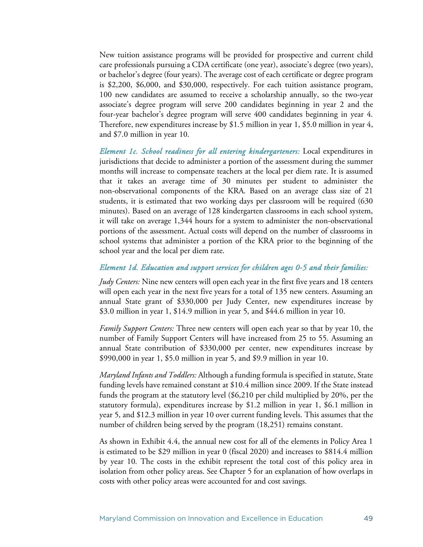New tuition assistance programs will be provided for prospective and current child care professionals pursuing a CDA certificate (one year), associate's degree (two years), or bachelor's degree (four years). The average cost of each certificate or degree program is \$2,200, \$6,000, and \$30,000, respectively. For each tuition assistance program, 100 new candidates are assumed to receive a scholarship annually, so the two-year associate's degree program will serve 200 candidates beginning in year 2 and the four-year bachelor's degree program will serve 400 candidates beginning in year 4. Therefore, new expenditures increase by \$1.5 million in year 1, \$5.0 million in year 4, and \$7.0 million in year 10.

*Element 1c. School readiness for all entering kindergarteners:* Local expenditures in jurisdictions that decide to administer a portion of the assessment during the summer months will increase to compensate teachers at the local per diem rate. It is assumed that it takes an average time of 30 minutes per student to administer the non-observational components of the KRA. Based on an average class size of 21 students, it is estimated that two working days per classroom will be required (630 minutes). Based on an average of 128 kindergarten classrooms in each school system, it will take on average 1,344 hours for a system to administer the non-observational portions of the assessment. Actual costs will depend on the number of classrooms in school systems that administer a portion of the KRA prior to the beginning of the school year and the local per diem rate.

#### *Element 1d. Education and support services for children ages 0-5 and their families:*

*Judy Centers:* Nine new centers will open each year in the first five years and 18 centers will open each year in the next five years for a total of 135 new centers. Assuming an annual State grant of \$330,000 per Judy Center, new expenditures increase by \$3.0 million in year 1, \$14.9 million in year 5, and \$44.6 million in year 10.

*Family Support Centers:* Three new centers will open each year so that by year 10, the number of Family Support Centers will have increased from 25 to 55. Assuming an annual State contribution of \$330,000 per center, new expenditures increase by \$990,000 in year 1, \$5.0 million in year 5, and \$9.9 million in year 10.

*Maryland Infants and Toddlers:* Although a funding formula is specified in statute, State funding levels have remained constant at \$10.4 million since 2009. If the State instead funds the program at the statutory level (\$6,210 per child multiplied by 20%, per the statutory formula), expenditures increase by \$1.2 million in year 1, \$6.1 million in year 5, and \$12.3 million in year 10 over current funding levels. This assumes that the number of children being served by the program (18,251) remains constant.

As shown in Exhibit 4.4, the annual new cost for all of the elements in Policy Area 1 is estimated to be \$29 million in year 0 (fiscal 2020) and increases to \$814.4 million by year 10. The costs in the exhibit represent the total cost of this policy area in isolation from other policy areas. See Chapter 5 for an explanation of how overlaps in costs with other policy areas were accounted for and cost savings.